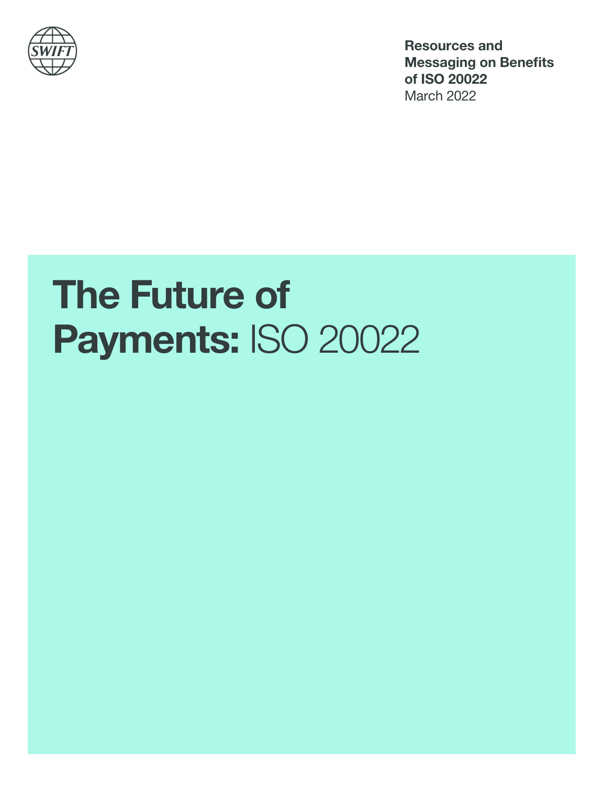

Resources and Messaging on Benefits of ISO 20022 March 2022

# The Future of Payments: ISO 20022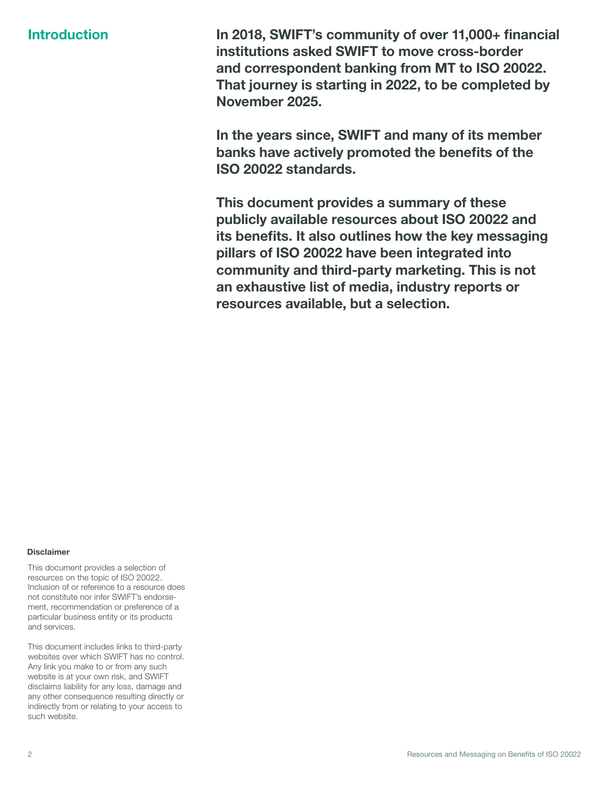Introduction In 2018, SWIFT's community of over 11,000+ financial institutions asked SWIFT to move cross-border and correspondent banking from MT to ISO 20022. That iourney is starting in 2022, to be completed by November 2025.

> In the years since, SWIFT and many of its member banks have actively promoted the benefits of the ISO 20022 standards.

This document provides a summary of these publicly available resources about ISO 20022 and its benefits. It also outlines how the key messaging pillars of ISO 20022 have been integrated into community and third-party marketing. This is not an exhaustive list of media, industry reports or resources available, but a selection.

#### Disclaimer

This document provides a selection of resources on the topic of ISO 20022. Inclusion of or reference to a resource does not constitute nor infer SWIFT's endorsement, recommendation or preference of a particular business entity or its products and services.

This document includes links to third-party websites over which SWIFT has no control. Any link you make to or from any such website is at your own risk, and SWIFT disclaims liability for any loss, damage and any other consequence resulting directly or indirectly from or relating to your access to such website.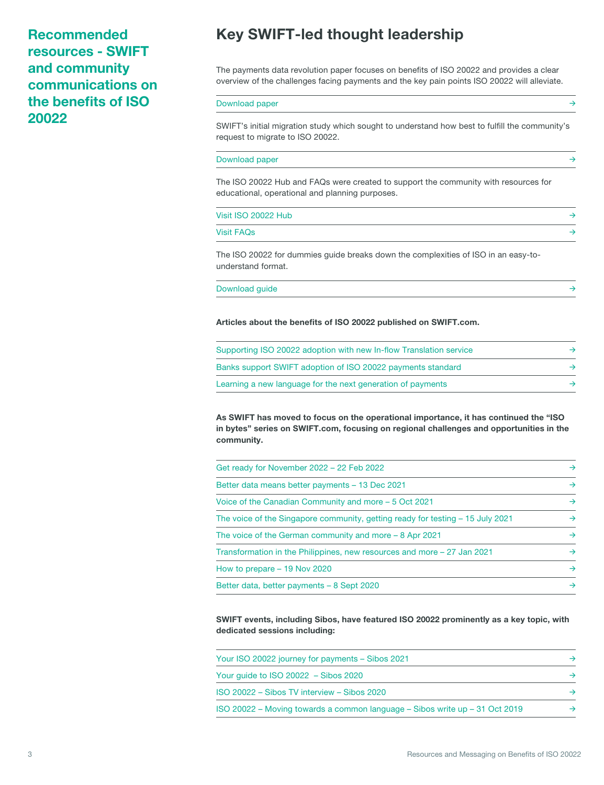Recommended resources - SWIFT and community communications on the benefits of ISO 20022

## Key SWIFT-led thought leadership

The payments data revolution paper focuses on benefits of ISO 20022 and provides a clear overview of the challenges facing payments and the key pain points ISO 20022 will alleviate.

#### [Download paper](https://www.swift.com/swift-resource/249466/download) →

SWIFT's initial migration study which sought to understand how best to fulfill the community's request to migrate to ISO 20022.

#### [Download paper](https://www.swift.com/resource/iso-20022-migration-study) →

The ISO 20022 Hub and FAQs were created to support the community with resources for educational, operational and planning purposes.

#### [Visit ISO 20022 Hub](https://www.swift.com/standards/iso-20022) →

[Visit FAQs](https://www.swift.com/standards/iso-20022/iso-20022-faqs)  $\rightarrow$ 

The ISO 20022 for dummies guide breaks down the complexities of ISO in an easy-tounderstand format.

| Download guide |  |  |  |  |
|----------------|--|--|--|--|
|----------------|--|--|--|--|

#### Articles about the benefits of ISO 20022 published on SWIFT.com.

| Supporting ISO 20022 adoption with new In-flow Translation service |  |
|--------------------------------------------------------------------|--|
| Banks support SWIFT adoption of ISO 20022 payments standard        |  |
| Learning a new language for the next generation of payments        |  |

As SWIFT has moved to focus on the operational importance, it has continued the "ISO in bytes" series on SWIFT.com, focusing on regional challenges and opportunities in the community.

| Get ready for November 2022 - 22 Feb 2022                                      | $\rightarrow$ |
|--------------------------------------------------------------------------------|---------------|
| Better data means better payments - 13 Dec 2021                                | $\rightarrow$ |
| Voice of the Canadian Community and more – 5 Oct 2021                          | $\rightarrow$ |
| The voice of the Singapore community, getting ready for testing – 15 July 2021 | $\rightarrow$ |
| The voice of the German community and more – 8 Apr 2021                        | $\rightarrow$ |
| Transformation in the Philippines, new resources and more – 27 Jan 2021        | $\rightarrow$ |
| How to prepare - 19 Nov 2020                                                   | $\rightarrow$ |
| Better data, better payments - 8 Sept 2020                                     | $\rightarrow$ |
|                                                                                |               |

SWIFT events, including Sibos, have featured ISO 20022 prominently as a key topic, with dedicated sessions including:

| Your ISO 20022 journey for payments – Sibos 2021                            |  |
|-----------------------------------------------------------------------------|--|
| Your guide to ISO 20022 - Sibos 2020                                        |  |
| ISO 20022 - Sibos TV interview - Sibos 2020                                 |  |
| ISO 20022 – Moving towards a common language – Sibos write up – 31 Oct 2019 |  |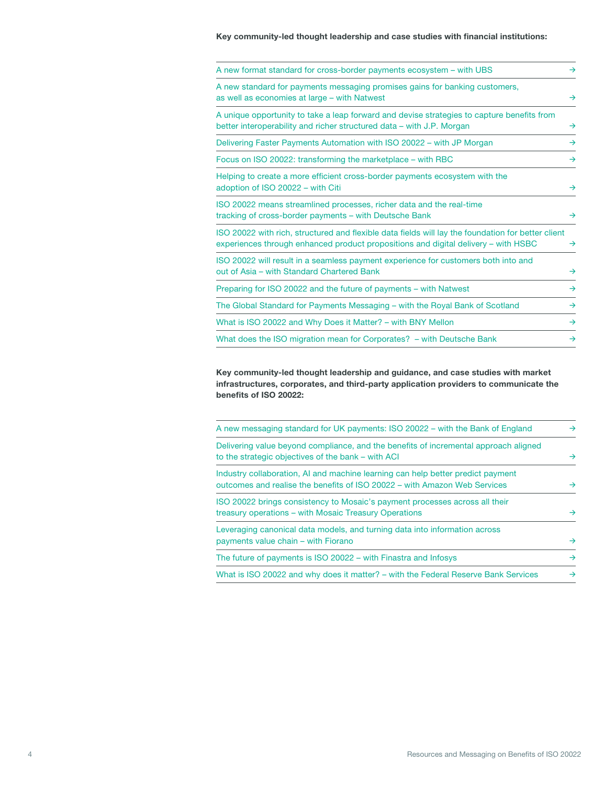Key community-led thought leadership and case studies with financial institutions:

Key community-led thought leadership and guidance, and case studies with market infrastructures, corporates, and third-party application providers to communicate the benefits of ISO 20022:

| A new messaging standard for UK payments: ISO 20022 – with the Bank of England                                                                               | $\rightarrow$ |
|--------------------------------------------------------------------------------------------------------------------------------------------------------------|---------------|
| Delivering value beyond compliance, and the benefits of incremental approach aligned<br>to the strategic objectives of the bank – with ACI                   | $\rightarrow$ |
| Industry collaboration, AI and machine learning can help better predict payment<br>outcomes and realise the benefits of ISO 20022 - with Amazon Web Services | $\rightarrow$ |
| ISO 20022 brings consistency to Mosaic's payment processes across all their<br>treasury operations – with Mosaic Treasury Operations                         | $\rightarrow$ |
| Leveraging canonical data models, and turning data into information across<br>payments value chain – with Fiorano                                            | $\rightarrow$ |
| The future of payments is ISO 20022 – with Finastra and Infosys                                                                                              | $\rightarrow$ |
| What is ISO 20022 and why does it matter? – with the Federal Reserve Bank Services                                                                           | $\rightarrow$ |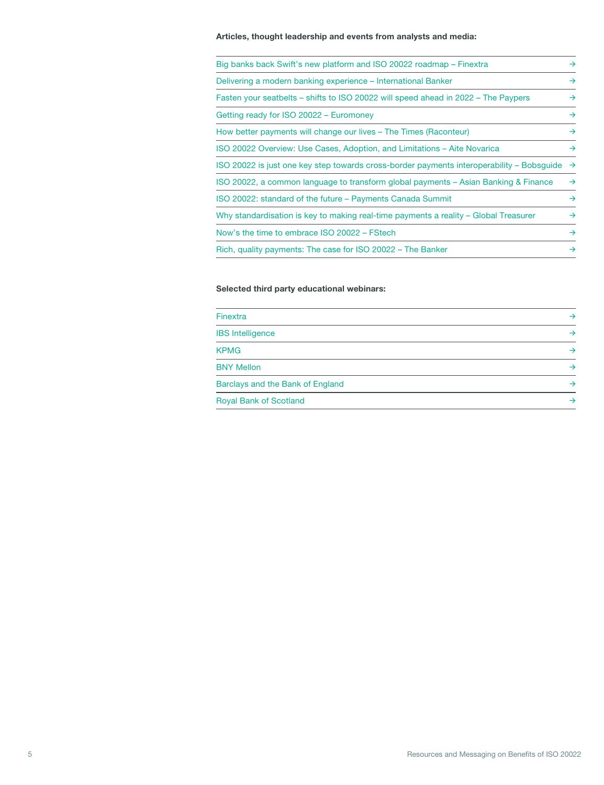#### Articles, thought leadership and events from analysts and media:

| Big banks back Swift's new platform and ISO 20022 roadmap – Finextra                      | $\rightarrow$ |
|-------------------------------------------------------------------------------------------|---------------|
| Delivering a modern banking experience – International Banker                             | $\rightarrow$ |
| Fasten your seatbelts – shifts to ISO 20022 will speed ahead in 2022 – The Paypers        | $\rightarrow$ |
| Getting ready for ISO 20022 - Euromoney                                                   | $\rightarrow$ |
| How better payments will change our lives – The Times (Raconteur)                         | $\rightarrow$ |
| ISO 20022 Overview: Use Cases, Adoption, and Limitations – Aite Novarica                  | $\rightarrow$ |
| ISO 20022 is just one key step towards cross-border payments interoperability – Bobsquide | $\rightarrow$ |
| ISO 20022, a common language to transform global payments – Asian Banking & Finance       | $\rightarrow$ |
| ISO 20022: standard of the future – Payments Canada Summit                                | $\rightarrow$ |
| Why standardisation is key to making real-time payments a reality – Global Treasurer      | $\rightarrow$ |
| Now's the time to embrace ISO 20022 - FStech                                              | $\rightarrow$ |
| Rich, quality payments: The case for ISO 20022 - The Banker                               | $\rightarrow$ |

### Selected third party educational webinars:

| Finextra                         | $\rightarrow$ |
|----------------------------------|---------------|
| <b>IBS</b> Intelligence          | $\rightarrow$ |
| <b>KPMG</b>                      | $\rightarrow$ |
| <b>BNY Mellon</b>                | $\rightarrow$ |
| Barclays and the Bank of England | $\rightarrow$ |
| <b>Royal Bank of Scotland</b>    | →             |
|                                  |               |